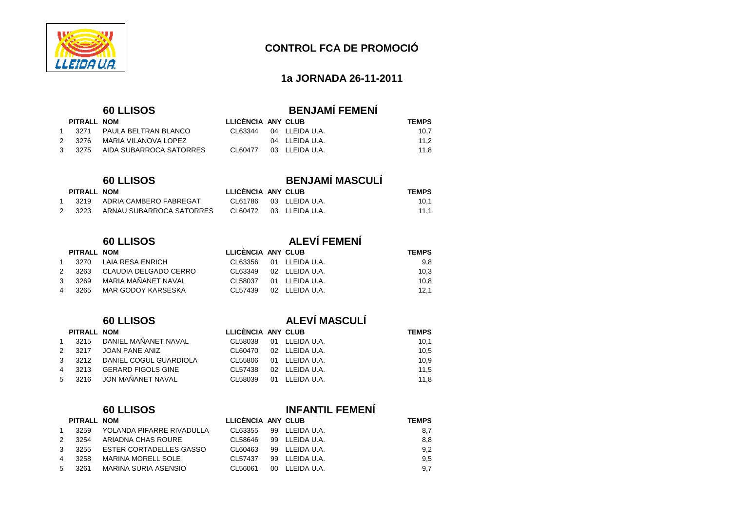

#### **1a JORNADA 26-11-2011**

| PITRALL NOM |                                |
|-------------|--------------------------------|
|             | 1 3271 PAULA BELTRAN BLANCO    |
| 2 3276      | MARIA VILANOVA LOPEZ           |
|             | 3 3275 AIDA SUBARROCA SATORRES |

#### **CON <b>EXECUTERALL NOM**

|   | 3219 | ADRIA CAMBERO FABREGAT   |
|---|------|--------------------------|
| 2 | 3223 | ARNAU SUBARROCA SATORRES |

|               | PITRALL NOM |                            |
|---------------|-------------|----------------------------|
| 1             |             | 3270 LAIA RESA ENRICH      |
| 2             |             | 3263 CLAUDIA DELGADO CERRO |
| $\mathcal{E}$ | 3269        | MARIA MAÑANFT NAVAL        |
| 4             | 3265        | MAR GODOY KARSESKA         |

| 3215                  | DANIEL MAÑANET NAVAL        |
|-----------------------|-----------------------------|
| 3217<br>$\mathcal{P}$ | <b>JOAN PANE ANIZ</b>       |
|                       | 3212 DANIEL COGUL GUARDIOLA |
| 3213                  | <b>GERARD FIGOLS GINE</b>   |
| 3216                  | JON MAÑANET NAVAL           |
|                       | PITRALL NOM                 |

# **60 LLISOS**<br>**ELICÈNCIA ANY CLUB**<br>**PITRALL NOM**<br>**ELICÈNCIA ANY CLUB**

## **60 LLISOS BENJAMÍ FEMENÍ**

|    | PITRALL NOM |                         | LLICENCIA ANY CLUB |                | <b>TEMPS</b> |  |
|----|-------------|-------------------------|--------------------|----------------|--------------|--|
|    | 3271        | PAULA BELTRAN BLANCO    | CI 63344           | 04 LLEIDA U.A. | 10.7         |  |
| 2. | 3276        | MARIA VILANOVA LOPEZ    |                    | 04 LLEIDA U.A. | 11.2         |  |
|    | 3 3275      | AIDA SUBARROCA SATORRES | CI 60477           | 03 LLEIDA U.A. | 11.8         |  |

### **60 LLISOS BENJAMÍ MASCULÍ**

| PITRALL NOM |                               | LLICÈNCIA ANY CLUB |                        | <b>TEMPS</b> |
|-------------|-------------------------------|--------------------|------------------------|--------------|
|             | 3219 ADRIA CAMBERO FABREGAT   |                    | CL61786 03 LLEIDA U.A. | 10.1         |
|             | 3223 ARNAU SUBARROCA SATORRES |                    | CL60472 03 LLEIDA U.A. | 11.1         |

### **60 LLISOS ALEVÍ FEMENÍ**

|   | PITRALL NOM |                       | LLICÈNCIA ANY CLUB |                | <b>TEMPS</b> |
|---|-------------|-----------------------|--------------------|----------------|--------------|
|   | 3270        | LAIA RESA ENRICH      | CL63356            | 01 LLEIDA U.A. | 9.8          |
| 2 | 3263        | CLAUDIA DELGADO CERRO | CL63349            | 02 LLEIDA U.A. | 10,3         |
| 3 | 3269        | MARIA MAÑANET NAVAL   | CL 58037           | 01 LLEIDA U.A. | 10.8         |
|   | 3265        | MAR GODOY KARSESKA    | CI 57439           | 02 LLEIDA U.A. | 12.1         |

### **60 LLISOS ALEVÍ MASCULÍ**

| PITRALL NOM |                            | LLICENCIA ANY CLUB |                | <b>TEMPS</b> |
|-------------|----------------------------|--------------------|----------------|--------------|
|             | 3215 DANIEL MAÑANET NAVAL  | CL58038            | 01 LLEIDA U.A. | 10,1         |
| 2 3217      | JOAN PANE ANIZ             | CL60470            | 02 LLEIDA U.A. | 10,5         |
| 3 3212      | DANIEL COGUL GUARDIOLA     | CL55806            | 01 LLEIDA U.A. | 10.9         |
| 4 3213      | GERARD FIGOLS GINE         | CL57438            | 02 LLEIDA U.A. | 11.5         |
|             | 5  3216  JON MAÑANET NAVAL | CL58039            | 01 LLEIDA U.A. | 11.8         |
|             |                            |                    |                |              |

| PITRALL NOM |                           | <b>LLICENCIA ANY CLUB</b> |                | <b>TEMPS</b> |  |
|-------------|---------------------------|---------------------------|----------------|--------------|--|
| 3259        | YOLANDA PIFARRE RIVADULLA | CL63355                   | 99 LLEIDA U.A. | 8,7          |  |
| 3254        | ARIADNA CHAS ROURE        | CL58646                   | 99 LLEIDA U.A. | 8,8          |  |
| 3255        | ESTER CORTADELLES GASSO   | CL60463                   | 99 LLEIDA U.A. | 9,2          |  |
| 3258        | MARINA MORELL SOLE        | CL57437                   | 99 LLEIDA U.A. | 9,5          |  |
| 3261        | MARINA SURIA ASENSIO      | CL56061                   | 00 LLEIDA U.A. | 9,7          |  |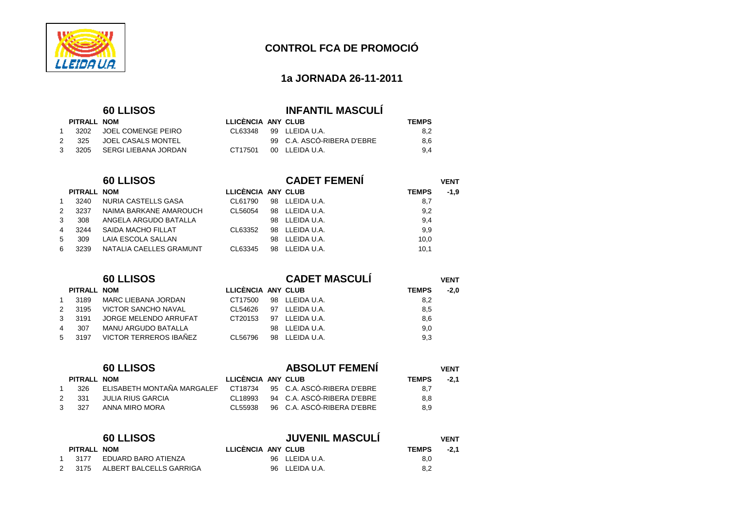

#### **1a JORNADA 26-11-2011**

#### **60 LLISOS INFANTIL MASCULÍ**

|              | PITRALL NOM |                             | LLICÈNCIA ANY CLUB |                            | <b>TEMPS</b> |
|--------------|-------------|-----------------------------|--------------------|----------------------------|--------------|
| $\mathbf{1}$ |             | 3202 JOEL COMENGE PEIRO     |                    | CI 63348 99 II FIDA U.A    | 8.2          |
| 2            |             | 325 JOEL CASALS MONTEL      |                    | 99 C.A. ASCÓ-RIBERA D'EBRE | 8.6          |
|              |             | 3 3205 SERGI LIEBANA JORDAN | CT17501            | 00 LLEIDA U.A.             | 9.4          |

|    |             | <b>60 LLISOS</b>        |                    |     | <b>CADET FEMENI</b> |              | <b>VENT</b> |  |
|----|-------------|-------------------------|--------------------|-----|---------------------|--------------|-------------|--|
|    | PITRALL NOM |                         | LLICÈNCIA ANY CLUB |     |                     | <b>TEMPS</b> | $-1,9$      |  |
|    | 3240        | NURIA CASTELLS GASA     | CL61790            | 98  | LLEIDA U.A.         | 8,7          |             |  |
| 2. | 3237        | NAIMA BARKANE AMAROUCH  | CL56054            | 98  | LLEIDA U.A.         | 9,2          |             |  |
| 3  | 308         | ANGELA ARGUDO BATALLA   |                    | 98. | LLEIDA U.A.         | 9,4          |             |  |
| 4  | 3244        | SAIDA MACHO FILLAT      | CL63352            | 98  | LLEIDA U.A.         | 9,9          |             |  |
|    | 309         | LAIA ESCOLA SALLAN      |                    | 98. | LLEIDA U.A.         | 10,0         |             |  |
| 6. | 3239        | NATALIA CAELLES GRAMUNT | CL63345            | 98  | LLEIDA U.A.         | 10,1         |             |  |

|                |             | <b>60 LLISOS</b>           |                    |    | <b>CADET MASCULI</b> |              | <b>VENT</b> |
|----------------|-------------|----------------------------|--------------------|----|----------------------|--------------|-------------|
|                | PITRALL NOM |                            | LLICÈNCIA ANY CLUB |    |                      | <b>TEMPS</b> | $-2.0$      |
| $\mathbf{1}$   | 3189        | MARC LIEBANA JORDAN        | CT17500            |    | 98 LLEIDA U.A.       | 8,2          |             |
| $2^{\circ}$    | 3195        | <b>VICTOR SANCHO NAVAL</b> | CL54626            | 97 | LLEIDA U.A.          | 8,5          |             |
| $3^{\circ}$    | 3191        | JORGE MELENDO ARRUFAT      | CT20153            |    | 97 LLEIDA U.A.       | 8,6          |             |
| $\overline{4}$ | 307         | MANU ARGUDO BATALLA        |                    |    | 98 LLEIDA U.A.       | 9,0          |             |
| 5 <sub>1</sub> | 3197        | VICTOR TERREROS IBAÑEZ     | CL56796            |    | 98 LLEIDA U.A.       | 9,3          |             |

|             |             | <b>60 LLISOS</b>           |                    | <b>ABSOLUT FEMENI</b>              | <b>VENT</b>  |        |  |
|-------------|-------------|----------------------------|--------------------|------------------------------------|--------------|--------|--|
|             | PITRALL NOM |                            | LLICÈNCIA ANY CLUB |                                    | <b>TEMPS</b> | $-2.1$ |  |
|             | 326         | ELISABETH MONTAÑA MARGALEF |                    | CT18734 95 C.A. ASCÓ-RIBERA D'EBRE | 8,7          |        |  |
| $2^{\circ}$ | -331        | JULIA RIUS GARCIA          | CI 18993           | 94 C.A. ASCÓ-RIBERA D'EBRE         | 8,8          |        |  |
| $3^{\circ}$ | - 327       | ANNA MIRO MORA             | CI 55938           | 96 C.A. ASCÓ-RIBERA D'EBRE         | 8.9          |        |  |
|             |             |                            |                    |                                    |              |        |  |

|             | <b>60 LLISOS</b>           |                    | <b>JUVENIL MASCULÍ</b> |              | <b>VENT</b> |  |
|-------------|----------------------------|--------------------|------------------------|--------------|-------------|--|
| PITRALL NOM |                            | LLICÈNCIA ANY CLUB |                        | <b>TEMPS</b> | $-2.1$      |  |
|             | 1 3177 EDUARD BARO ATIENZA |                    | 96 LLEIDA U.A.         | 8,0          |             |  |
| 2 3175      | ALBERT BALCELLS GARRIGA    |                    | 96 LLEIDA U.A.         | 8,2          |             |  |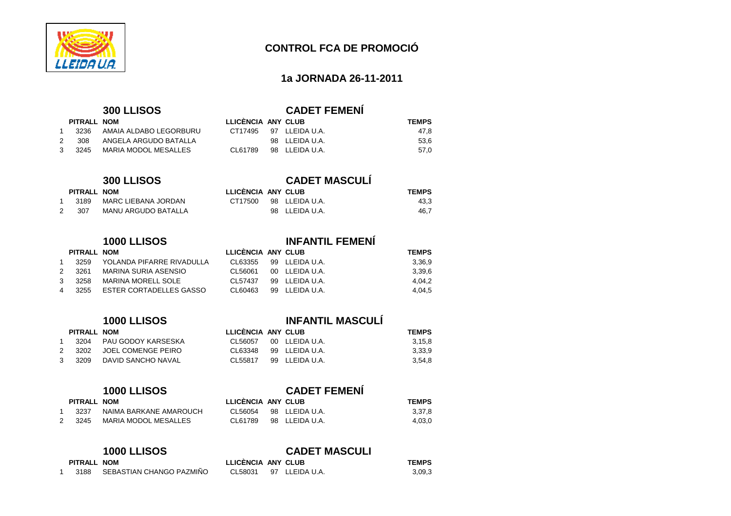

#### **1a JORNADA 26-11-2011**

|               | PITRALL NOM |                             |
|---------------|-------------|-----------------------------|
| $\mathbf 1$   | 3236        | AMAIA ALDABO LEGORBURU      |
| $\mathcal{P}$ | - 308       | ANGELA ARGUDO BATALLA       |
| $\mathcal{B}$ | 3245        | <b>MARIA MODOL MESALLES</b> |

# **300 LLISOS**<br> **NOM**

#### $PITRAL$  **NOM**

|   | 3189 | MARC LIEBANA JORDAN |
|---|------|---------------------|
| 2 | 307  | MANU ARGUDO BATALLA |

|               | PITRALL NOM |                                  |
|---------------|-------------|----------------------------------|
|               |             | 1 3259 YOLANDA PIFARRE RIVADULLA |
|               |             | 2 3261 MARINA SURIA ASENSIO      |
| $\mathcal{R}$ | - 3258      | <b>MARINA MORELL SOLE</b>        |
| 4             |             | 3255 ESTER CORTADELLES GASSO     |

|   | PITRALL NOM |                           |
|---|-------------|---------------------------|
|   |             | 1 3204 PAU GODOY KARSESKA |
| 2 |             | 3202 JOEL COMENGE PEIRO   |
|   |             | 3 3209 DAVID SANCHO NAVAL |

|               | PITRALL NOM |                             |  |
|---------------|-------------|-----------------------------|--|
|               | 1 3237      | NAIMA BARKANE AMAROUCH      |  |
| $\mathcal{P}$ | -3245       | <b>MARIA MODOL MESALLES</b> |  |

| PITRALL NOM |                          | LLICÈNCIA ANY CLUB |                        | <b>TEMPS</b> |  |
|-------------|--------------------------|--------------------|------------------------|--------------|--|
| 3188        | SEBASTIAN CHANGO PAZMIÑO |                    | CL58031 97 LLEIDA U.A. | 3,09,3       |  |

# **300 LLISOS CADET FEMENÍ**

| PITRALL NOM |                        | LLICENCIA ANY CLUB |                | <b>TEMPS</b> |  |
|-------------|------------------------|--------------------|----------------|--------------|--|
| 3236        | AMAIA ALDABO LEGORBURU | CT17495            | 97 LLEIDA U.A. | 47.8         |  |
| 308         | ANGELA ARGUDO BATALLA  |                    | 98 LLEIDA U.A. | 53.6         |  |
| 3245        | MARIA MODOL MESALLES   | CL61789            | 98 LLEIDA U.A. | 57.0         |  |

| <b>300 LLISOS</b> |                     |                    | <b>CADET MASCULÍ</b> |                   |              |  |  |  |
|-------------------|---------------------|--------------------|----------------------|-------------------|--------------|--|--|--|
| PITRALL NOM       |                     | LLICENCIA ANY CLUB |                      |                   | <b>TEMPS</b> |  |  |  |
| 3189              | MARC LIEBANA JORDAN | CT17500            |                      | 98 LLEIDA U.A.    | 43,3         |  |  |  |
| -307              | MANU ARGUDO BATALLA |                    |                      | $98$ II FIDA U.A. | 46,7         |  |  |  |

#### **1000 LLISOS INFANTIL FEMENÍ**

| PITRALL NOM |                           | LLICENCIA ANY CLUB |                | <b>TEMPS</b> |
|-------------|---------------------------|--------------------|----------------|--------------|
| 3259        | YOLANDA PIFARRE RIVADULLA | CL63355            | 99 LLEIDA U.A. | 3,36,9       |
| 3261        | MARINA SURIA ASENSIO      | CL 56061           | 00 ILEIDAUA    | 3,39,6       |
| 3258        | MARINA MORELL SOLE        | CI 57437           | 99 LLEIDA U.A. | 4.04.2       |
| 3255        | ESTER CORTADELLES GASSO   | CL60463            | 99 LLEIDA U.A. | 4,04,5       |

#### **1000 LLISOS INFANTIL MASCULÍ**

|   | PITRALL NOM |                         | LLICENCIA ANY CLUB |                | <b>TEMPS</b> |
|---|-------------|-------------------------|--------------------|----------------|--------------|
|   |             | 3204 PAU GODOY KARSESKA | CL56057            | 00 LLEIDA U.A. | 3,15,8       |
| 2 | 3202        | JOEL COMENGE PEIRO      | CL63348            | 99 LLEIDA U.A. | 3,33,9       |
|   | 3209        | DAVID SANCHO NAVAL      | CL 55817           | 99 LLEIDA U.A. | 3,54,8       |

# **1000 LLISOS CADET FEMENÍ**

| PITRALL NOM |                        | LLICENCIA ANY CLUB |                | <b>TEMPS</b> |
|-------------|------------------------|--------------------|----------------|--------------|
| 3237        | NAIMA BARKANE AMAROUCH | CL56054            | 98 LLEIDA U.A. | 3,37,8       |
| 3245        | MARIA MODOL MESALLES   | CL61789            | 98 LLEIDA U.A. | 4.03.0       |

#### **1000 LLISOS CADET MASCULI**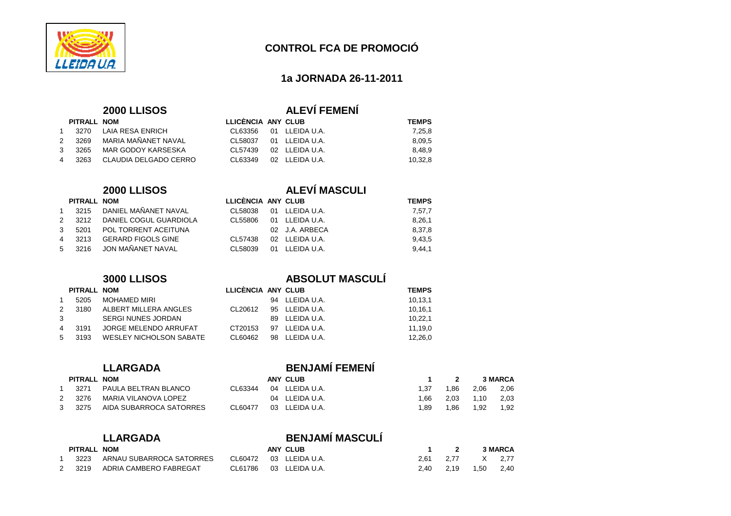

#### **1a JORNADA 26-11-2011**

#### **2000 LLISOS ALEVÍ FEMENÍ**

|               | PITRALL NOM |                            |
|---------------|-------------|----------------------------|
| $\mathbf{1}$  |             | 3270 LAIA RESA ENRICH      |
| 2             | 3269        | MARIA MAÑANFT NAVAL        |
| $\mathcal{B}$ | 3265        | MAR GODOY KARSESKA         |
| 4             |             | 3263 CLAUDIA DELGADO CERRO |

#### 1 3215 DANIEL MAÑANET NAVAL

|               | <b>I JARIJ DANILLI MANANLI INAVAL</b> |
|---------------|---------------------------------------|
|               | 2 3212 DANIEL COGUL GUARDIOLA         |
| $\mathcal{B}$ | 5201 POL TORRENT ACEITUNA             |
| 4             | 3213 GERARD FIGOLS GINE               |
|               | 5 3216 JON MAÑANET NAVAL              |

### **2000 LLISOS ALEVÍ MASCULI**

CL58037 01 LLEIDA U.A.

CL57439 02 LLEIDA U.A.

CL63349 02 LLEIDA U.A.

**PITRALL NOM LLICÈNCIA ANY CLUB TEMPS**  CL63356 01 LLEIDA U.A. 7,25,8

| PITRALL NOM |                           | LLICÈNCIA ANY CLUB |                | <b>TEMPS</b> |
|-------------|---------------------------|--------------------|----------------|--------------|
| 3215        | DANIEL MAÑANET NAVAL      | CL58038            | 01 LLEIDA U.A. | 7,57,7       |
| 2 3212      | DANIEL COGUL GUARDIOLA    | CL55806            | 01 LLEIDA U.A. | 8,26,1       |
| 5201        | POL TORRENT ACEITUNA      |                    | 02 J.A. ARBECA | 8,37,8       |
| 3213        | <b>GERARD FIGOLS GINE</b> | CL57438            | 02 LLEIDA U.A. | 9.43.5       |
| 5 3216      | JON MAÑANET NAVAL         | CL58039            | 01 LLEIDA U.A. | 9.44.1       |

#### **3000 LLISOS ABSOLUT MASCULÍ**

|                | PITRALL NOM |                         | LLICÈNCIA ANY CLUB |                | <b>TEMPS</b> |
|----------------|-------------|-------------------------|--------------------|----------------|--------------|
| $\mathbf{1}$   | 5205        | MOHAMED MIRI            |                    | 94 LLEIDA U.A. | 10,13,1      |
| $\mathcal{P}$  | 3180        | ALBERT MILLERA ANGLES   | CL20612            | 95 LLEIDA U.A. | 10,16,1      |
| 3              |             | SERGI NUNES JORDAN      |                    | 89 LLEIDA U.A. | 10.22.1      |
| $\overline{4}$ | - 3191      | JORGE MELENDO ARRUFAT   | CT20153            | 97 LLEIDA U.A. | 11,19,0      |
| 5              | 3193        | WESLEY NICHOLSON SABATE | CL60462            | 98 LLEIDA U.A. | 12,26,0      |

#### **PITRALL NOM**

|               | 3271 | PAULA BELTRAN BLANCO         | CL63344  | - 04 |
|---------------|------|------------------------------|----------|------|
| $\mathcal{P}$ | 3276 | MARIA VILANOVA LOPEZ         |          | 04   |
| $\mathcal{B}$ |      | 3275 AIDA SUBARROCA SATORRES | CI 60477 | 03   |

#### **PITRALL NOM**

| 3223 | ARNAU SUBARROCA SATORRES |  |                        | 2,61 |
|------|--------------------------|--|------------------------|------|
| 3219 | ADRIA CAMBERO FABREGAT   |  | CL61786 03 LLEIDA U.A. | 2,40 |

### **LLARGADA BENJAMÍ FEMENÍ**

| PITRALL NOM |                         |          | ANY CLUB       |      |      |      | 3 MARCA |
|-------------|-------------------------|----------|----------------|------|------|------|---------|
| 3271        | PAULA BELTRAN BLANCO    | CI 63344 | 04 LLEIDA U.A. | l.37 | 1.86 | 2.06 | 2,06    |
| 3276        | MARIA VILANOVA LOPEZ    |          | 04 LLEIDA U.A. | .66  | 2.03 | 1.10 | 2,03    |
| 3275        | AIDA SUBARROCA SATORRES | CL60477  | 03 LLEIDA U.A. | .89  | l.86 | 1.92 | 1,92    |

8,09,5

8,48,9

10,32,8

#### **LLARGADA BENJAMÍ MASCULÍ**

| PITRALL NOM |                          |         | <b>ANY CLUB</b>        |           | $\overline{\mathbf{2}}$ |           | <b>3 MARCA</b> |
|-------------|--------------------------|---------|------------------------|-----------|-------------------------|-----------|----------------|
| 3223        | ARNAU SUBARROCA SATORRES |         | CL60472 03 LLEIDA U.A. | 2.61 2.77 |                         | X 2.77    |                |
| 3219        | ADRIA CAMBERO FABREGAT   | CL61786 | 03 LLEIDA U.A.         |           | 2.40 2.19               | 1.50 2.40 |                |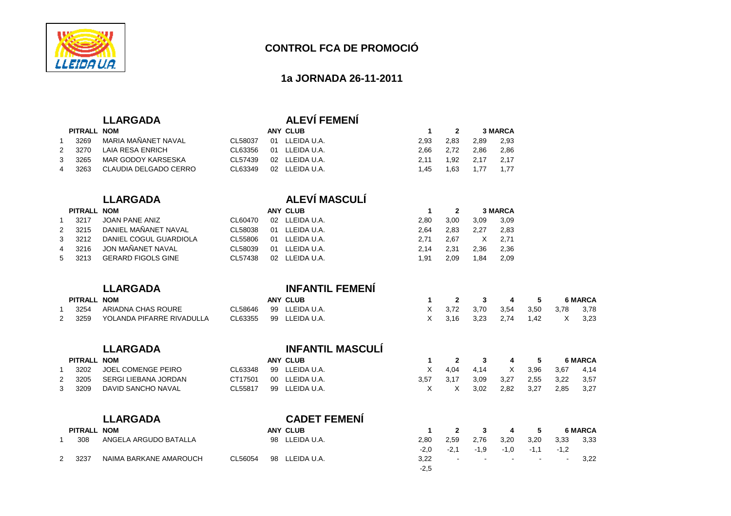

#### **1a JORNADA 26-11-2011**

2,86

 $2,17$ 

# **LLARGADA ALEVÍ FEMENÍ**

| PITRALL NOM |                       |         | ANY CLUB       |      |           | <b>3 MARCA</b> |      |
|-------------|-----------------------|---------|----------------|------|-----------|----------------|------|
| 3269        | MARIA MAÑANET NAVAL   | CL58037 | 01 LLEIDA U.A. | 2.93 | 2.83      | 2.89           | 2,93 |
| 2 3270      | LAIA RESA ENRICH      | CL63356 | 01 LLEIDA U.A. |      | 2.66 2.72 | 2.86           | 2,86 |
| 3 3265      | MAR GODOY KARSESKA    | CL57439 | 02 LLEIDA U.A. | 2.11 |           | 1,92 2,17 2,17 |      |
| 4 3263      | CLAUDIA DELGADO CERRO | CL63349 | 02 LLEIDA U.A. | 1.45 | 1.63      | 1,77 1,77      |      |

### **LLARGADA ALEVÍ MASCULÍ**

|                | PITRALL NOM |                           |         |    | ANY CLUB       |      | ົ    |      | <b>3 MARCA</b> |
|----------------|-------------|---------------------------|---------|----|----------------|------|------|------|----------------|
|                | 3217        | JOAN PANE ANIZ            | CL60470 |    | 02 LLEIDA U.A. | 2.80 | 3.00 | 3.09 | 3,09           |
| 2              | 3215        | DANIEL MAÑANET NAVAL      | CL58038 | 01 | LLEIDA U.A.    | 2.64 | 2.83 | 2.27 | 2.83           |
| 3              | 3212        | DANIEL COGUL GUARDIOLA    | CL55806 | 01 | LLEIDA U.A.    | 2.71 | 2.67 |      | 2.71           |
| $\overline{4}$ | 3216        | JON MAÑANET NAVAL         | CL58039 | 01 | LLEIDA U.A.    | 2.14 | 2.31 | 2.36 | 2,36           |
| 5              | 3213        | <b>GERARD FIGOLS GINE</b> | CL57438 | 02 | LLEIDA U.A.    | 1.91 | 2.09 | 1.84 | 2,09           |

**LLARGADA INFANTIL MASCULÍ**

### **LLARGADA INFANTIL FEMENÍ**

| PITRALL NOM |      |                           |         | ANY CLUB       | 1 2 3 4 |                       | - 5 | <b>6 MARCA</b> |            |  |
|-------------|------|---------------------------|---------|----------------|---------|-----------------------|-----|----------------|------------|--|
|             | 3254 | ARIADNA CHAS ROURE        | CL58646 | 99 LLEIDA U.A. |         | X 3.72 3.70 3.54      |     | 3.50           | 3,78 3,78  |  |
|             | 3259 | YOLANDA PIFARRE RIVADULLA | CL63355 | 99 LLEIDA U.A. |         | X 3,16 3,23 2,74 1,42 |     |                | $X = 3.23$ |  |

|   |                | LLARGADA                  |         |                 | INFANTIL MASCULI    |        |              |        |        |        |                |                |
|---|----------------|---------------------------|---------|-----------------|---------------------|--------|--------------|--------|--------|--------|----------------|----------------|
|   | PITRALL NOM    |                           |         |                 | <b>ANY CLUB</b>     |        | $\mathbf{2}$ | 3      | 4      | 5      |                | <b>6 MARCA</b> |
|   | 3202           | <b>JOEL COMENGE PEIRO</b> | CL63348 | 99              | LLEIDA U.A.         | X      | 4,04         | 4,14   | X      | 3,96   | 3,67           | 4.14           |
|   | 3205           | SERGI LIEBANA JORDAN      | CT17501 | 00 <sup>1</sup> | LLEIDA U.A.         | 3,57   | 3,17         | 3,09   | 3,27   | 2,55   | 3,22           | 3,57           |
| 3 | 3209           | DAVID SANCHO NAVAL        | CL55817 | 99              | LLEIDA U.A.         | X      | X            | 3,02   | 2,82   | 3,27   | 2,85           | 3,27           |
|   |                | <b>LLARGADA</b>           |         |                 | <b>CADET FEMENI</b> |        |              |        |        |        |                |                |
|   | <b>PITRALL</b> | <b>NOM</b>                |         |                 | <b>ANY CLUB</b>     |        | $\mathbf{2}$ | 3      | 4      | 5      |                | <b>6 MARCA</b> |
|   | 308            | ANGELA ARGUDO BATALLA     |         | 98              | LLEIDA U.A.         | 2,80   | 2,59         | 2.76   | 3,20   | 3.20   | 3,33           | 3,33           |
|   |                |                           |         |                 |                     | $-2,0$ | $-2,1$       | $-1,9$ | $-1,0$ | $-1,1$ | $-1,2$         |                |
|   | 3237           | NAIMA BARKANE AMAROUCH    | CL56054 | 98              | LLEIDA U.A.         | 3,22   |              |        |        |        | $\blacksquare$ | 3,22           |
|   |                |                           |         |                 |                     | $-2.5$ |              |        |        |        |                |                |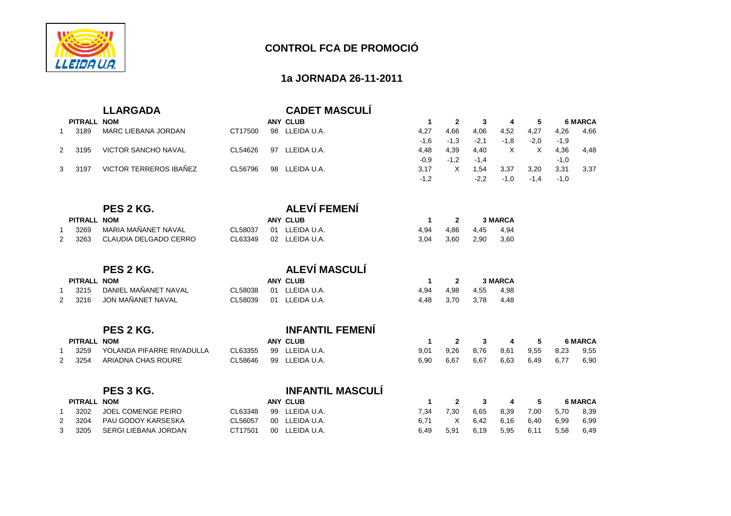

#### **1a JORNADA 26-11-2011**

|                |                    | <b>LLARGADA</b>             |         |    | <b>CADET MASCULÍ</b>    |              |                |        |                |          |        |                |
|----------------|--------------------|-----------------------------|---------|----|-------------------------|--------------|----------------|--------|----------------|----------|--------|----------------|
|                | PITRALL NOM        |                             |         |    | <b>ANY CLUB</b>         | $\mathbf{1}$ | $\mathbf{2}$   | 3      | 4              | 5        |        | <b>6 MARCA</b> |
| $\mathbf 1$    | 3189               | <b>MARC LIEBANA JORDAN</b>  | CT17500 | 98 | LLEIDA U.A.             | 4,27         | 4,66           | 4,06   | 4,52           | 4,27     | 4,26   | 4,66           |
|                |                    |                             |         |    |                         | $-1,6$       | $-1,3$         | $-2,1$ | $-1,8$         | $-2,0$   | $-1,9$ |                |
| $\overline{2}$ | 3195               | <b>VICTOR SANCHO NAVAL</b>  | CL54626 | 97 | LLEIDA U.A.             | 4,48         | 4,39           | 4,40   | $\times$       | $\times$ | 4,36   | 4,48           |
|                |                    |                             |         |    |                         | $-0,9$       | $-1,2$         | $-1,4$ |                |          | $-1,0$ |                |
| 3              | 3197               | VICTOR TERREROS IBAÑEZ      | CL56796 | 98 | LLEIDA U.A.             | 3,17         | $\times$       | 1,54   | 3,37           | 3,20     | 3,31   | 3,37           |
|                |                    |                             |         |    |                         | $-1,2$       |                | $-2,2$ | $-1,0$         | $-1,4$   | $-1,0$ |                |
|                |                    |                             |         |    |                         |              |                |        |                |          |        |                |
|                |                    | PES 2 KG.                   |         |    | <b>ALEVÍ FEMENÍ</b>     |              |                |        |                |          |        |                |
|                | PITRALL NOM        |                             |         |    | <b>ANY CLUB</b>         | $\mathbf{1}$ | $\mathbf{2}$   |        | <b>3 MARCA</b> |          |        |                |
| 1              | 3269               | MARIA MAÑANET NAVAL         | CL58037 | 01 | LLEIDA U.A.             | 4,94         | 4,86           | 4,45   | 4,94           |          |        |                |
| 2              | 3263               | CLAUDIA DELGADO CERRO       | CL63349 | 02 | LLEIDA U.A.             | 3,04         | 3,60           | 2,90   | 3,60           |          |        |                |
|                |                    | PES 2 KG.                   |         |    | <b>ALEVÍ MASCULÍ</b>    |              |                |        |                |          |        |                |
|                | <b>PITRALL NOM</b> |                             |         |    | <b>ANY CLUB</b>         | $\mathbf{1}$ | $\overline{2}$ |        | <b>3 MARCA</b> |          |        |                |
| 1              | 3215               | DANIEL MAÑANET NAVAL        | CL58038 | 01 | LLEIDA U.A.             | 4,94         | 4,98           | 4,55   | 4,98           |          |        |                |
| 2              | 3216               | JON MAÑANET NAVAL           | CL58039 | 01 | LLEIDA U.A.             | 4.48         | 3,70           | 3.78   | 4,48           |          |        |                |
|                |                    |                             |         |    |                         |              |                |        |                |          |        |                |
|                |                    | PES 2 KG.                   |         |    | <b>INFANTIL FEMENÍ</b>  |              |                |        |                |          |        |                |
|                | <b>PITRALL NOM</b> |                             |         |    | <b>ANY CLUB</b>         | $\mathbf{1}$ | $\mathbf{2}$   | 3      | 4              | 5        |        | <b>6 MARCA</b> |
| 1              | 3259               | YOLANDA PIFARRE RIVADULLA   | CL63355 | 99 | LLEIDA U.A.             | 9,01         | 9,26           | 8,76   | 8,61           | 9,55     | 8,23   | 9,55           |
| $\overline{2}$ | 3254               | ARIADNA CHAS ROURE          | CL58646 | 99 | LLEIDA U.A.             | 6,90         | 6,67           | 6,67   | 6,63           | 6,49     | 6.77   | 6,90           |
|                |                    |                             |         |    |                         |              |                |        |                |          |        |                |
|                |                    | PES 3 KG.                   |         |    | <b>INFANTIL MASCULÍ</b> |              |                |        |                |          |        |                |
|                | <b>PITRALL NOM</b> |                             |         |    | <b>ANY CLUB</b>         | $\mathbf{1}$ | $\mathbf{2}$   | 3      | 4              | 5        |        | <b>6 MARCA</b> |
| 1              | 3202               | <b>JOEL COMENGE PEIRO</b>   | CL63348 | 99 | LLEIDA U.A.             | 7,34         | 7,30           | 6,65   | 8,39           | 7,00     | 5,70   | 8,39           |
| $\overline{2}$ | 3204               | PAU GODOY KARSESKA          | CL56057 | 00 | LLEIDA U.A.             | 6,71         | X              | 6,42   | 6,16           | 6,40     | 6,99   | 6,99           |
| 3              | 3205               | <b>SERGI LIEBANA JORDAN</b> | CT17501 | 00 | LLEIDA U.A.             | 6,49         | 5,91           | 6,19   | 5,95           | 6,11     | 5,58   | 6,49           |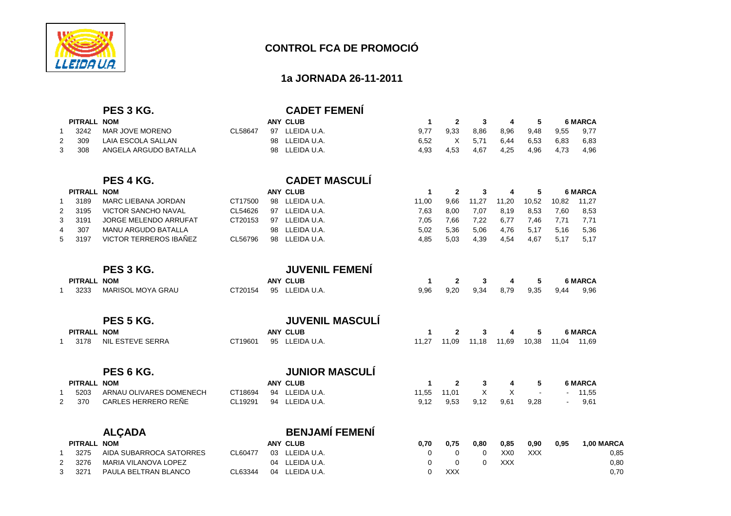

#### **1a JORNADA 26-11-2011**

|                |                    | PES 3 KG.                     |         |    | <b>CADET FEMENÍ</b>    |              |              |          |                 |            |       |                   |
|----------------|--------------------|-------------------------------|---------|----|------------------------|--------------|--------------|----------|-----------------|------------|-------|-------------------|
|                | PITRALL NOM        |                               |         |    | <b>ANY CLUB</b>        | $\mathbf{1}$ | $\mathbf{2}$ | 3        | 4               | 5          |       | <b>6 MARCA</b>    |
| 1              | 3242               | MAR JOVE MORENO               | CL58647 |    | 97 LLEIDA U.A.         | 9,77         | 9,33         | 8,86     | 8,96            | 9,48       | 9,55  | 9,77              |
| $\overline{2}$ | 309                | <b>LAIA ESCOLA SALLAN</b>     |         | 98 | LLEIDA U.A.            | 6,52         | X            | 5,71     | 6,44            | 6,53       | 6,83  | 6,83              |
| 3              | 308                | ANGELA ARGUDO BATALLA         |         | 98 | LLEIDA U.A.            | 4.93         | 4,53         | 4.67     | 4,25            | 4.96       | 4.73  | 4,96              |
|                |                    | PES 4 KG.                     |         |    | <b>CADET MASCULÍ</b>   |              |              |          |                 |            |       |                   |
|                | <b>PITRALL NOM</b> |                               |         |    | <b>ANY CLUB</b>        | $\mathbf{1}$ | $\mathbf{2}$ | 3        | 4               | 5          |       | <b>6 MARCA</b>    |
| 1              | 3189               | <b>MARC LIEBANA JORDAN</b>    | CT17500 |    | 98 LLEIDA U.A.         | 11,00        | 9,66         | 11,27    | 11,20           | 10,52      | 10,82 | 11,27             |
| $\overline{2}$ | 3195               | <b>VICTOR SANCHO NAVAL</b>    | CL54626 | 97 | LLEIDA U.A.            | 7,63         | 8,00         | 7,07     | 8,19            | 8,53       | 7,60  | 8,53              |
| 3              | 3191               | <b>JORGE MELENDO ARRUFAT</b>  | CT20153 | 97 | LLEIDA U.A.            | 7.05         | 7,66         | 7,22     | 6,77            | 7,46       | 7,71  | 7,71              |
| 4              | 307                | <b>MANU ARGUDO BATALLA</b>    |         | 98 | LLEIDA U.A.            | 5.02         | 5,36         | 5.06     | 4.76            | 5.17       | 5.16  | 5,36              |
| 5              | 3197               | <b>VICTOR TERREROS IBAÑEZ</b> | CL56796 | 98 | LLEIDA U.A.            | 4.85         | 5,03         | 4,39     | 4,54            | 4.67       | 5,17  | 5,17              |
|                |                    | PES 3 KG.                     |         |    | <b>JUVENIL FEMENÍ</b>  |              |              |          |                 |            |       |                   |
|                | PITRALL NOM        |                               |         |    | <b>ANY CLUB</b>        | $\mathbf{1}$ | $\mathbf{2}$ | 3        | 4               | 5          |       | <b>6 MARCA</b>    |
|                | 3233               | <b>MARISOL MOYA GRAU</b>      | CT20154 |    | 95 LLEIDA U.A.         | 9.96         | 9,20         | 9,34     | 8,79            | 9,35       | 9.44  | 9,96              |
|                |                    | PES 5 KG.                     |         |    | <b>JUVENIL MASCULI</b> |              |              |          |                 |            |       |                   |
|                | PITRALL NOM        |                               |         |    | <b>ANY CLUB</b>        | $\mathbf{1}$ | $\mathbf{2}$ | 3        | 4               | 5          |       | <b>6 MARCA</b>    |
|                | 3178               | <b>NIL ESTEVE SERRA</b>       | CT19601 |    | 95 LLEIDA U.A.         | 11,27        | 11,09        | 11,18    | 11,69           | 10,38      | 11,04 | 11,69             |
|                |                    | PES 6 KG.                     |         |    | <b>JUNIOR MASCULÍ</b>  |              |              |          |                 |            |       |                   |
|                | <b>PITRALL NOM</b> |                               |         |    | <b>ANY CLUB</b>        | $\mathbf{1}$ | $\mathbf{2}$ | 3        | 4               | 5          |       | <b>6 MARCA</b>    |
| 1              | 5203               | ARNAU OLIVARES DOMENECH       | CT18694 |    | 94 LLEIDA U.A.         | 11,55        | 11,01        | X        | X               |            |       | 11,55             |
| $\overline{2}$ | 370                | CARLES HERRERO REÑE           | CL19291 | 94 | LLEIDA U.A.            | 9,12         | 9,53         | 9,12     | 9,61            | 9,28       |       | 9,61              |
|                |                    | <b>ALÇADA</b>                 |         |    | <b>BENJAMÍ FEMENÍ</b>  |              |              |          |                 |            |       |                   |
|                | <b>PITRALL NOM</b> |                               |         |    | <b>ANY CLUB</b>        | 0.70         | 0,75         | 0,80     | 0,85            | 0,90       | 0,95  | <b>1,00 MARCA</b> |
|                | 3275               | AIDA SUBARROCA SATORRES       | CL60477 | 03 | LLEIDA U.A.            | 0            | 0            | 0        | XX <sub>0</sub> | <b>XXX</b> |       | 0,85              |
| $\overline{2}$ | 3276               | MARIA VILANOVA LOPEZ          |         |    | 04 LLEIDA U.A.         | 0            | $\Omega$     | $\Omega$ | <b>XXX</b>      |            |       | 0.80              |
|                |                    |                               |         |    |                        |              |              |          |                 |            |       |                   |

3 3271 PAULA BELTRAN BLANCO CL63344 04 LLEIDA U.A. 0 XXX 0 XXX

 $0,70$ 

 $X = 0.70$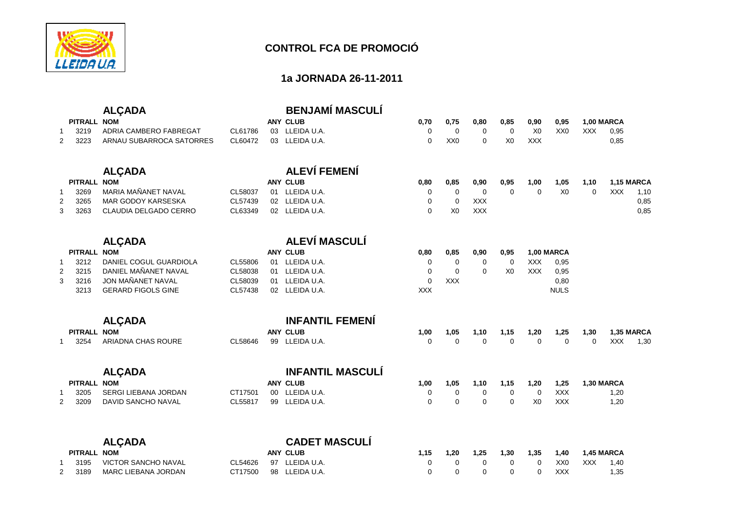

#### **1a JORNADA 26-11-2011**

### **ALÇADA BENJAMÍ MASCULÍ**

| PITRALL NOM |                          |         | ANY CLUB               | 0.70 | 0.75 | 0.80     | 0,85           | 0,90 | 0,95 |     | 1.00 MARCA |
|-------------|--------------------------|---------|------------------------|------|------|----------|----------------|------|------|-----|------------|
| 3219        | ADRIA CAMBERO FABREGAT   | CL61786 | 03 LLEIDA U.A.         |      |      | $\Omega$ | $\overline{0}$ | X0   | XX0  | XXX | 0,95       |
| 2 3223      | ARNAU SUBARROCA SATORRES |         | CL60472 03 LLEIDA U.A. |      | XXO  | 0        | X0             | XXX  |      |     | 0,85       |

|             | <b>ALCADA</b>         |         | <b>ALEVÍ FEMENÍ</b> |      |      |            |      |      |      |      |                   |      |
|-------------|-----------------------|---------|---------------------|------|------|------------|------|------|------|------|-------------------|------|
| PITRALL NOM |                       |         | ANY CLUB            | 0.80 | 0.85 | 0.90       | 0.95 | 1.00 | 1.05 | 1.10 | <b>1,15 MARCA</b> |      |
| 3269        | MARIA MAÑANET NAVAL   | CL58037 | 01 LLEIDA U.A.      |      |      |            |      |      | X0   |      | <b>XXX</b>        | 1.10 |
| 2 3265      | MAR GODOY KARSESKA    | CL57439 | 02 LLEIDA U.A.      |      |      | <b>XXX</b> |      |      |      |      |                   | 0.85 |
| 3 3263      | CLAUDIA DELGADO CERRO | CL63349 | 02 LLEIDA U.A.      |      | X0   | <b>XXX</b> |      |      |      |      |                   | 0,85 |

### **ALÇADA ALEVÍ MASCULÍ**

| PITRALL NOM |                               |         | ANY CLUB       | 0.80 | 0.85     | 0.90     | 0.95           | <b>1.00 MARCA</b> |             |
|-------------|-------------------------------|---------|----------------|------|----------|----------|----------------|-------------------|-------------|
| 3212        | DANIEL COGUL GUARDIOLA        | CL55806 | 01 LLEIDA U.A. |      |          | $\Omega$ |                | XXX               | 0.95        |
|             | 2  3215  DANIEL MAÑANET NAVAL | CL58038 | 01 LLEIDA U.A. |      | $\Omega$ | $\Omega$ | X <sub>0</sub> | <b>XXX</b>        | 0.95        |
| 3 3216      | JON MAÑANET NAVAL             | CL58039 | 01 LLEIDA U.A. |      | XXX      |          |                |                   | 0,80        |
| 3213        | GERARD FIGOLS GINE            | CL57438 | 02 LLEIDA U.A. | XXX  |          |          |                |                   | <b>NULS</b> |
|             |                               |         |                |      |          |          |                |                   |             |

|             | <b>ALCADA</b>      |  | <b>INFANTIL FEMENI</b> |      |          |          |      |      |                     |      |                   |      |
|-------------|--------------------|--|------------------------|------|----------|----------|------|------|---------------------|------|-------------------|------|
| PITRALL NOM |                    |  | ANY CLUB               | 1.00 | 1.05     | 1.10     | 1.15 | 1,20 | 1,25                | 1,30 | <b>1.35 MARCA</b> |      |
| 3254        | ARIADNA CHAS ROURE |  | CL58646 99 LLEIDA U.A. |      | $\Omega$ | $\Omega$ |      |      | $0\qquad 0\qquad 0$ |      | $0$ XXX           | 1,30 |

 $X = 0.85$ 

|             | <b>ALCADA</b>        |         | <b>INFANTIL MASCULI</b> |      |          |          |      |                |      |            |
|-------------|----------------------|---------|-------------------------|------|----------|----------|------|----------------|------|------------|
| PITRALL NOM |                      |         | ANY CLUB                | 1.00 | 1.05     | 1.10     | 1,15 | 1.20           | 1,25 | 1.30 MARCA |
| 3205        | SERGI LIEBANA JORDAN | CT17501 | 00 LLEIDA U.A.          |      |          |          |      |                | XXX  | 1,20       |
| 2 3209      | DAVID SANCHO NAVAL   | CL55817 | 99 LLEIDA U.A.          |      | $\Omega$ | $\Omega$ | റ    | X <sub>0</sub> | XXX  | 1,20       |

|             | <b>ALCADA</b>              |         |    | <b>CADET MASCULI</b> |      |      |          |          |      |      |     |                   |
|-------------|----------------------------|---------|----|----------------------|------|------|----------|----------|------|------|-----|-------------------|
| PITRALL NOM |                            |         |    | <b>ANY CLUB</b>      | 1.15 | 1.20 | 1.25     | 1.30     | 1.35 | 1.40 |     | <b>1.45 MARCA</b> |
|             | 1 3195 VICTOR SANCHO NAVAL | CL54626 |    | 97 LLEIDA U.A.       |      |      | $\Omega$ | $\Omega$ |      | XX0  | XXX | 1.40              |
| 2 3189      | MARC LIEBANA JORDAN        | CT17500 | 98 | LLEIDA U.A.          |      |      |          |          |      | XXX  |     | 1,35              |

### 33349 02 LLEIDA U.A. 0 X0 XXX